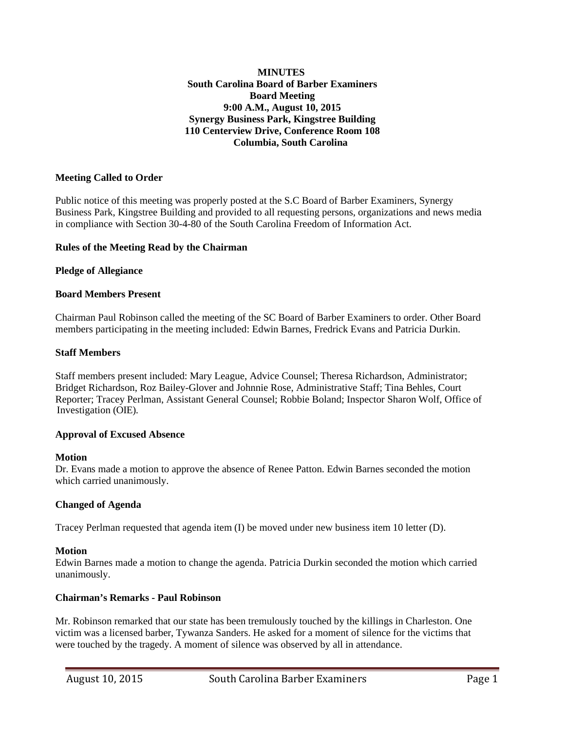## **MINUTES South Carolina Board of Barber Examiners Board Meeting 9:00 A.M., August 10, 2015 Synergy Business Park, Kingstree Building 110 Centerview Drive, Conference Room 108 Columbia, South Carolina**

## **Meeting Called to Order**

Public notice of this meeting was properly posted at the S.C Board of Barber Examiners, Synergy Business Park, Kingstree Building and provided to all requesting persons, organizations and news media in compliance with Section 30-4-80 of the South Carolina Freedom of Information Act.

## **Rules of the Meeting Read by the Chairman**

#### **Pledge of Allegiance**

## **Board Members Present**

Chairman Paul Robinson called the meeting of the SC Board of Barber Examiners to order. Other Board members participating in the meeting included: Edwin Barnes, Fredrick Evans and Patricia Durkin.

## **Staff Members**

Staff members present included: Mary League, Advice Counsel; Theresa Richardson, Administrator; Bridget Richardson, Roz Bailey-Glover and Johnnie Rose, Administrative Staff; Tina Behles, Court Reporter; Tracey Perlman, Assistant General Counsel; Robbie Boland; Inspector Sharon Wolf, Office of Investigation (OIE).

## **Approval of Excused Absence**

#### **Motion**

Dr. Evans made a motion to approve the absence of Renee Patton. Edwin Barnes seconded the motion which carried unanimously.

## **Changed of Agenda**

Tracey Perlman requested that agenda item (I) be moved under new business item 10 letter (D).

#### **Motion**

Edwin Barnes made a motion to change the agenda. Patricia Durkin seconded the motion which carried unanimously.

## **Chairman's Remarks - Paul Robinson**

Mr. Robinson remarked that our state has been tremulously touched by the killings in Charleston. One victim was a licensed barber, Tywanza Sanders. He asked for a moment of silence for the victims that were touched by the tragedy. A moment of silence was observed by all in attendance.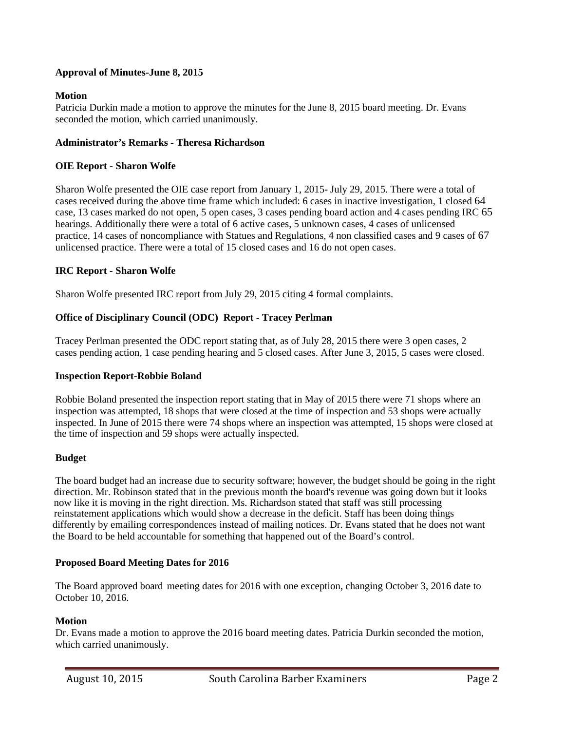# **Approval of Minutes-June 8, 2015**

## **Motion**

Patricia Durkin made a motion to approve the minutes for the June 8, 2015 board meeting. Dr. Evans seconded the motion, which carried unanimously.

## **Administrator's Remarks - Theresa Richardson**

## **OIE Report - Sharon Wolfe**

Sharon Wolfe presented the OIE case report from January 1, 2015- July 29, 2015. There were a total of cases received during the above time frame which included: 6 cases in inactive investigation, 1 closed 64 case, 13 cases marked do not open, 5 open cases, 3 cases pending board action and 4 cases pending IRC 65 hearings. Additionally there were a total of 6 active cases, 5 unknown cases, 4 cases of unlicensed practice, 14 cases of noncompliance with Statues and Regulations, 4 non classified cases and 9 cases of 67 unlicensed practice. There were a total of 15 closed cases and 16 do not open cases.

## **IRC Report - Sharon Wolfe**

Sharon Wolfe presented IRC report from July 29, 2015 citing 4 formal complaints.

# **Office of Disciplinary Council (ODC) Report - Tracey Perlman**

Tracey Perlman presented the ODC report stating that, as of July 28, 2015 there were 3 open cases, 2 cases pending action, 1 case pending hearing and 5 closed cases. After June 3, 2015, 5 cases were closed.

## **Inspection Report-Robbie Boland**

Robbie Boland presented the inspection report stating that in May of 2015 there were 71 shops where an inspection was attempted, 18 shops that were closed at the time of inspection and 53 shops were actually inspected. In June of 2015 there were 74 shops where an inspection was attempted, 15 shops were closed at the time of inspection and 59 shops were actually inspected.

# **Budget**

The board budget had an increase due to security software; however, the budget should be going in the right direction. Mr. Robinson stated that in the previous month the board's revenue was going down but it looks now like it is moving in the right direction. Ms. Richardson stated that staff was still processing reinstatement applications which would show a decrease in the deficit. Staff has been doing things differently by emailing correspondences instead of mailing notices. Dr. Evans stated that he does not want the Board to be held accountable for something that happened out of the Board's control.

## **Proposed Board Meeting Dates for 2016**

The Board approved board meeting dates for 2016 with one exception, changing October 3, 2016 date to October 10, 2016.

## **Motion**

 Dr. Evans made a motion to approve the 2016 board meeting dates. Patricia Durkin seconded the motion, which carried unanimously.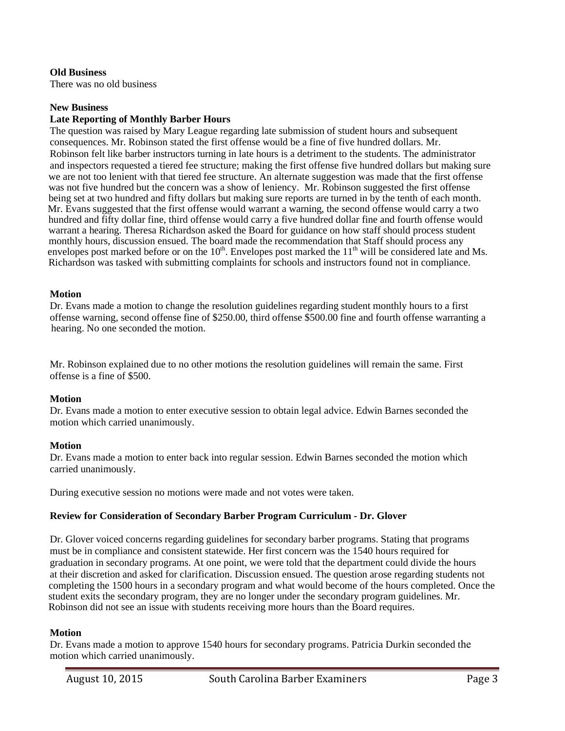## **Old Business**

There was no old business

#### **New Business**

## **Late Reporting of Monthly Barber Hours**

The question was raised by Mary League regarding late submission of student hours and subsequent consequences. Mr. Robinson stated the first offense would be a fine of five hundred dollars. Mr. Robinson felt like barber instructors turning in late hours is a detriment to the students. The administrator and inspectors requested a tiered fee structure; making the first offense five hundred dollars but making sure we are not too lenient with that tiered fee structure. An alternate suggestion was made that the first offense was not five hundred but the concern was a show of leniency. Mr. Robinson suggested the first offense being set at two hundred and fifty dollars but making sure reports are turned in by the tenth of each month. Mr. Evans suggested that the first offense would warrant a warning, the second offense would carry a two hundred and fifty dollar fine, third offense would carry a five hundred dollar fine and fourth offense would warrant a hearing. Theresa Richardson asked the Board for guidance on how staff should process student monthly hours, discussion ensued. The board made the recommendation that Staff should process any envelopes post marked before or on the  $10<sup>th</sup>$ . Envelopes post marked the  $11<sup>th</sup>$  will be considered late and Ms. Richardson was tasked with submitting complaints for schools and instructors found not in compliance.

#### **Motion**

Dr. Evans made a motion to change the resolution guidelines regarding student monthly hours to a first offense warning, second offense fine of \$250.00, third offense \$500.00 fine and fourth offense warranting a hearing. No one seconded the motion.

Mr. Robinson explained due to no other motions the resolution guidelines will remain the same. First offense is a fine of \$500.

## **Motion**

Dr. Evans made a motion to enter executive session to obtain legal advice. Edwin Barnes seconded the motion which carried unanimously.

#### **Motion**

Dr. Evans made a motion to enter back into regular session. Edwin Barnes seconded the motion which carried unanimously.

During executive session no motions were made and not votes were taken.

## **Review for Consideration of Secondary Barber Program Curriculum - Dr. Glover**

Dr. Glover voiced concerns regarding guidelines for secondary barber programs. Stating that programs must be in compliance and consistent statewide. Her first concern was the 1540 hours required for graduation in secondary programs. At one point, we were told that the department could divide the hours at their discretion and asked for clarification. Discussion ensued. The question arose regarding students not completing the 1500 hours in a secondary program and what would become of the hours completed. Once the student exits the secondary program, they are no longer under the secondary program guidelines. Mr. Robinson did not see an issue with students receiving more hours than the Board requires.

## **Motion**

Dr. Evans made a motion to approve 1540 hours for secondary programs. Patricia Durkin seconded the motion which carried unanimously.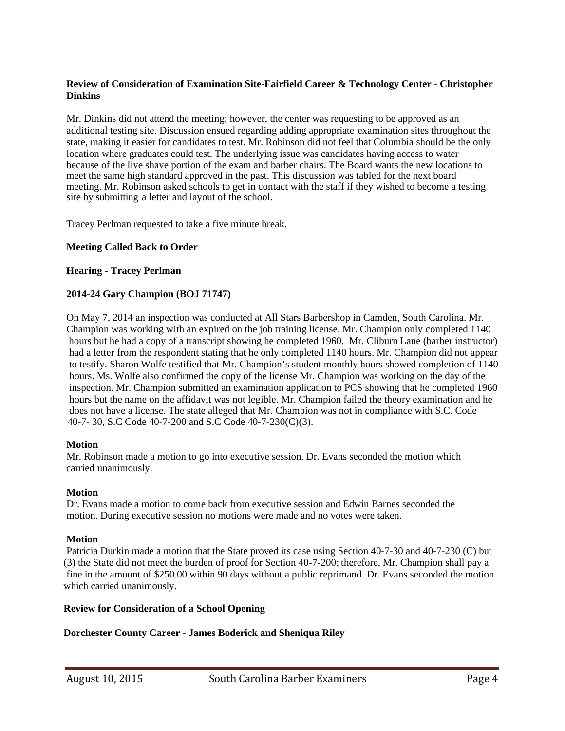## **Review of Consideration of Examination Site-Fairfield Career & Technology Center - Christopher Dinkins**

 Mr. Dinkins did not attend the meeting; however, the center was requesting to be approved as an additional testing site. Discussion ensued regarding adding appropriate examination sites throughout the state, making it easier for candidates to test. Mr. Robinson did not feel that Columbia should be the only location where graduates could test. The underlying issue was candidates having access to water because of the live shave portion of the exam and barber chairs. The Board wants the new locations to meet the same high standard approved in the past. This discussion was tabled for the next board meeting. Mr. Robinson asked schools to get in contact with the staff if they wished to become a testing site by submitting a letter and layout of the school.

Tracey Perlman requested to take a five minute break.

## **Meeting Called Back to Order**

## **Hearing - Tracey Perlman**

## **2014-24 Gary Champion (BOJ 71747)**

 On May 7, 2014 an inspection was conducted at All Stars Barbershop in Camden, South Carolina. Mr. Champion was working with an expired on the job training license. Mr. Champion only completed 1140 hours but he had a copy of a transcript showing he completed 1960. Mr. Cliburn Lane (barber instructor) had a letter from the respondent stating that he only completed 1140 hours. Mr. Champion did not appear to testify. Sharon Wolfe testified that Mr. Champion's student monthly hours showed completion of 1140 hours. Ms. Wolfe also confirmed the copy of the license Mr. Champion was working on the day of the inspection. Mr. Champion submitted an examination application to PCS showing that he completed 1960 hours but the name on the affidavit was not legible. Mr. Champion failed the theory examination and he does not have a license. The state alleged that Mr. Champion was not in compliance with S.C. Code 40-7- 30, S.C Code 40-7-200 and S.C Code 40-7-230(C)(3).

## **Motion**

 Mr. Robinson made a motion to go into executive session. Dr. Evans seconded the motion which carried unanimously.

## **Motion**

 Dr. Evans made a motion to come back from executive session and Edwin Barnes seconded the motion. During executive session no motions were made and no votes were taken.

## **Motion**

 Patricia Durkin made a motion that the State proved its case using Section 40-7-30 and 40-7-230 (C) but (3) the State did not meet the burden of proof for Section 40-7-200; therefore, Mr. Champion shall pay a fine in the amount of \$250.00 within 90 days without a public reprimand. Dr. Evans seconded the motion which carried unanimously.

## **Review for Consideration of a School Opening**

## **Dorchester County Career - James Boderick and Sheniqua Riley**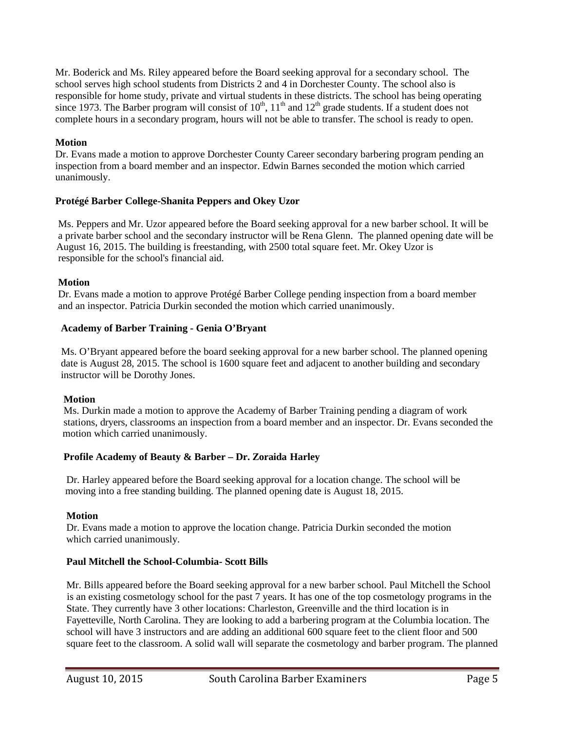Mr. Boderick and Ms. Riley appeared before the Board seeking approval for a secondary school. The school serves high school students from Districts 2 and 4 in Dorchester County. The school also is responsible for home study, private and virtual students in these districts. The school has being operating since 1973. The Barber program will consist of  $10^{th}$ ,  $11^{th}$  and  $12^{th}$  grade students. If a student does not complete hours in a secondary program, hours will not be able to transfer. The school is ready to open.

# **Motion**

 Dr. Evans made a motion to approve Dorchester County Career secondary barbering program pending an inspection from a board member and an inspector. Edwin Barnes seconded the motion which carried unanimously.

# **Protégé Barber College-Shanita Peppers and Okey Uzor**

 Ms. Peppers and Mr. Uzor appeared before the Board seeking approval for a new barber school. It will be a private barber school and the secondary instructor will be Rena Glenn. The planned opening date will be August 16, 2015. The building is freestanding, with 2500 total square feet. Mr. Okey Uzor is responsible for the school's financial aid.

# **Motion**

 Dr. Evans made a motion to approve Protégé Barber College pending inspection from a board member and an inspector. Patricia Durkin seconded the motion which carried unanimously.

# **Academy of Barber Training - Genia O'Bryant**

 Ms. O'Bryant appeared before the board seeking approval for a new barber school. The planned opening date is August 28, 2015. The school is 1600 square feet and adjacent to another building and secondary instructor will be Dorothy Jones.

# **Motion**

Ms. Durkin made a motion to approve the Academy of Barber Training pending a diagram of work stations, dryers, classrooms an inspection from a board member and an inspector. Dr. Evans seconded the motion which carried unanimously.

# **Profile Academy of Beauty & Barber – Dr. Zoraida Harley**

 Dr. Harley appeared before the Board seeking approval for a location change. The school will be moving into a free standing building. The planned opening date is August 18, 2015.

# **Motion**

 Dr. Evans made a motion to approve the location change. Patricia Durkin seconded the motion which carried unanimously.

# **Paul Mitchell the School-Columbia- Scott Bills**

 Mr. Bills appeared before the Board seeking approval for a new barber school. Paul Mitchell the School is an existing cosmetology school for the past 7 years. It has one of the top cosmetology programs in the State. They currently have 3 other locations: Charleston, Greenville and the third location is in Fayetteville, North Carolina. They are looking to add a barbering program at the Columbia location. The school will have 3 instructors and are adding an additional 600 square feet to the client floor and 500 square feet to the classroom. A solid wall will separate the cosmetology and barber program. The planned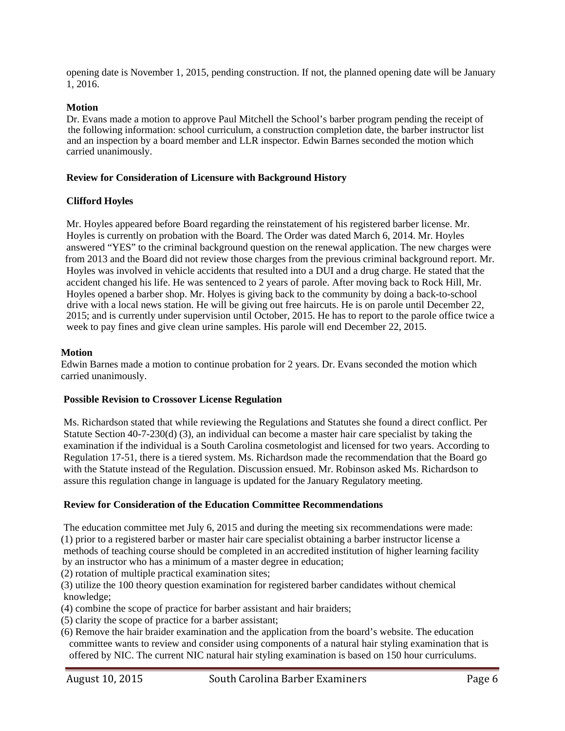opening date is November 1, 2015, pending construction. If not, the planned opening date will be January 1, 2016.

## **Motion**

 Dr. Evans made a motion to approve Paul Mitchell the School's barber program pending the receipt of the following information: school curriculum, a construction completion date, the barber instructor list and an inspection by a board member and LLR inspector. Edwin Barnes seconded the motion which carried unanimously.

## **Review for Consideration of Licensure with Background History**

# **Clifford Hoyles**

 Mr. Hoyles appeared before Board regarding the reinstatement of his registered barber license. Mr. Hoyles is currently on probation with the Board. The Order was dated March 6, 2014. Mr. Hoyles answered "YES" to the criminal background question on the renewal application. The new charges were from 2013 and the Board did not review those charges from the previous criminal background report. Mr. Hoyles was involved in vehicle accidents that resulted into a DUI and a drug charge. He stated that the accident changed his life. He was sentenced to 2 years of parole. After moving back to Rock Hill, Mr. Hoyles opened a barber shop. Mr. Holyes is giving back to the community by doing a back-to-school drive with a local news station. He will be giving out free haircuts. He is on parole until December 22, 2015; and is currently under supervision until October, 2015. He has to report to the parole office twice a week to pay fines and give clean urine samples. His parole will end December 22, 2015.

## **Motion**

 Edwin Barnes made a motion to continue probation for 2 years. Dr. Evans seconded the motion which carried unanimously.

## **Possible Revision to Crossover License Regulation**

 Ms. Richardson stated that while reviewing the Regulations and Statutes she found a direct conflict. Per Statute Section 40-7-230(d) (3), an individual can become a master hair care specialist by taking the examination if the individual is a South Carolina cosmetologist and licensed for two years. According to Regulation 17-51, there is a tiered system. Ms. Richardson made the recommendation that the Board go with the Statute instead of the Regulation. Discussion ensued. Mr. Robinson asked Ms. Richardson to assure this regulation change in language is updated for the January Regulatory meeting.

# **Review for Consideration of the Education Committee Recommendations**

 The education committee met July 6, 2015 and during the meeting six recommendations were made: (1) prior to a registered barber or master hair care specialist obtaining a barber instructor license a methods of teaching course should be completed in an accredited institution of higher learning facility by an instructor who has a minimum of a master degree in education;

(2) rotation of multiple practical examination sites;

 (3) utilize the 100 theory question examination for registered barber candidates without chemical knowledge;

- (4) combine the scope of practice for barber assistant and hair braiders;
- (5) clarity the scope of practice for a barber assistant;
- (6) Remove the hair braider examination and the application from the board's website. The education committee wants to review and consider using components of a natural hair styling examination that is offered by NIC. The current NIC natural hair styling examination is based on 150 hour curriculums.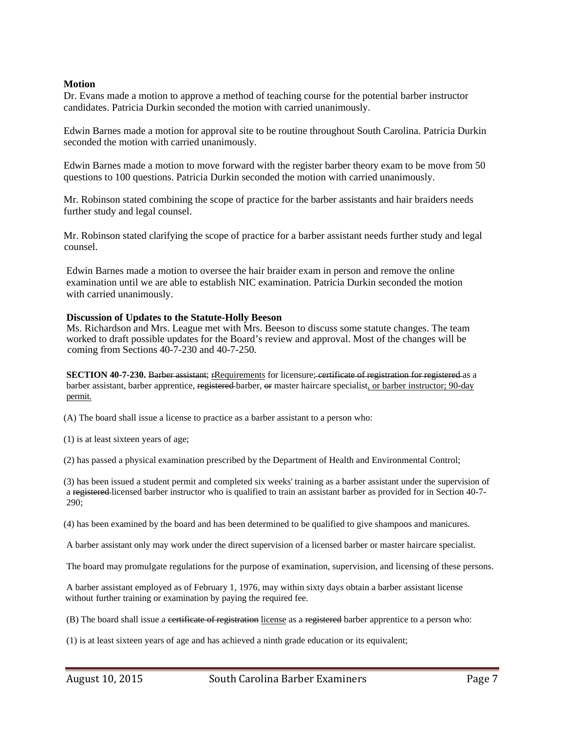## **Motion**

 Dr. Evans made a motion to approve a method of teaching course for the potential barber instructor candidates. Patricia Durkin seconded the motion with carried unanimously.

 Edwin Barnes made a motion for approval site to be routine throughout South Carolina. Patricia Durkin seconded the motion with carried unanimously.

 Edwin Barnes made a motion to move forward with the register barber theory exam to be move from 50 questions to 100 questions. Patricia Durkin seconded the motion with carried unanimously.

Mr. Robinson stated combining the scope of practice for the barber assistants and hair braiders needs further study and legal counsel.

 Mr. Robinson stated clarifying the scope of practice for a barber assistant needs further study and legal counsel.

Edwin Barnes made a motion to oversee the hair braider exam in person and remove the online examination until we are able to establish NIC examination. Patricia Durkin seconded the motion with carried unanimously.

#### **Discussion of Updates to the Statute-Holly Beeson**

Ms. Richardson and Mrs. League met with Mrs. Beeson to discuss some statute changes. The team worked to draft possible updates for the Board's review and approval. Most of the changes will be coming from Sections 40-7-230 and 40-7-250.

**SECTION 40-7-230.** Barber assistant; rRequirements for licensure; certificate of registration for registered as a barber assistant, barber apprentice, registered barber, or master haircare specialist, or barber instructor; 90-day permit.

(A) The board shall issue a license to practice as a barber assistant to a person who:

(1) is at least sixteen years of age;

(2) has passed a physical examination prescribed by the Department of Health and Environmental Control;

 (3) has been issued a student permit and completed six weeks' training as a barber assistant under the supervision of a registered licensed barber instructor who is qualified to train an assistant barber as provided for in Section 40-7- 290;

(4) has been examined by the board and has been determined to be qualified to give shampoos and manicures.

A barber assistant only may work under the direct supervision of a licensed barber or master haircare specialist.

The board may promulgate regulations for the purpose of examination, supervision, and licensing of these persons.

A barber assistant employed as of February 1, 1976, may within sixty days obtain a barber assistant license without further training or examination by paying the required fee.

(B) The board shall issue a certificate of registration license as a registered barber apprentice to a person who:

(1) is at least sixteen years of age and has achieved a ninth grade education or its equivalent;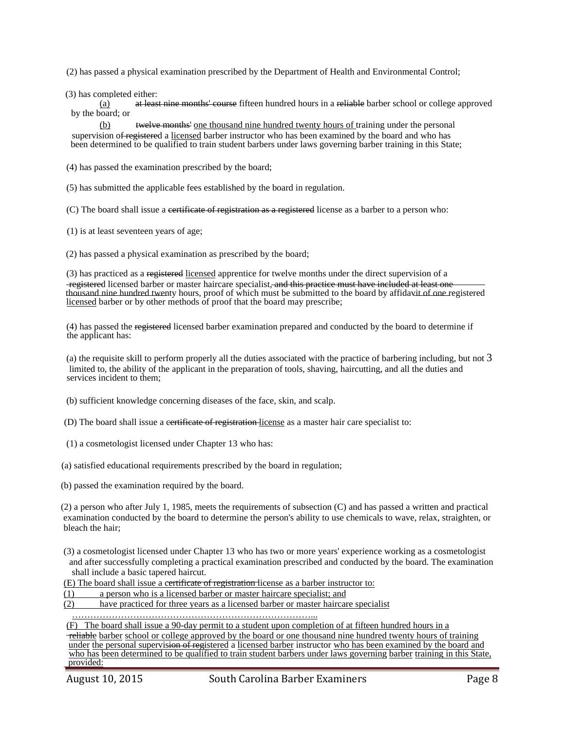(2) has passed a physical examination prescribed by the Department of Health and Environmental Control;

(3) has completed either:

(a) at least nine months' course fifteen hundred hours in a reliable barber school or college approved by the board; or

(b) twelve months' one thousand nine hundred twenty hours of training under the personal supervision o<del>f registered</del> a licensed barber instructor who has been examined by the board and who has been determined to be qualified to train student barbers under laws governing barber training in this State;

(4) has passed the examination prescribed by the board;

(5) has submitted the applicable fees established by the board in regulation.

(C) The board shall issue a certificate of registration as a registered license as a barber to a person who:

(1) is at least seventeen years of age;

(2) has passed a physical examination as prescribed by the board;

 (3) has practiced as a registered licensed apprentice for twelve months under the direct supervision of a -registered licensed barber or master haircare specialist, and this practice must have included at least one thousand nine hundred twenty hours, proof of which must be submitted to the board by affidavit of one registered licensed barber or by other methods of proof that the board may prescribe;

 (4) has passed the registered licensed barber examination prepared and conducted by the board to determine if the applicant has:

 (a) the requisite skill to perform properly all the duties associated with the practice of barbering including, but not 3 limited to, the ability of the applicant in the preparation of tools, shaving, haircutting, and all the duties and services incident to them;

(b) sufficient knowledge concerning diseases of the face, skin, and scalp.

(D) The board shall issue a certificate of registration license as a master hair care specialist to:

(1) a cosmetologist licensed under Chapter 13 who has:

(a) satisfied educational requirements prescribed by the board in regulation;

(b) passed the examination required by the board.

 (2) a person who after July 1, 1985, meets the requirements of subsection (C) and has passed a written and practical examination conducted by the board to determine the person's ability to use chemicals to wave, relax, straighten, or bleach the hair;

 (3) a cosmetologist licensed under Chapter 13 who has two or more years' experience working as a cosmetologist and after successfully completing a practical examination prescribed and conducted by the board. The examination shall include a basic tapered haircut.

(E) The board shall issue a certificate of registration license as a barber instructor to:

(1) a person who is a licensed barber or master haircare specialist; and

(2) have practiced for three years as a licensed barber or master haircare specialist

……………………………………………………………………...

(F) The board shall issue a 90-day permit to a student upon completion of at fifteen hundred hours in a

**Treliable barber school or college approved by the board or one thousand nine hundred twenty hours of training**  under the personal supervision of registered a licensed barber instructor who has been examined by the board and who has been determined to be qualified to train student barbers under laws governing barber training in this State, provided: